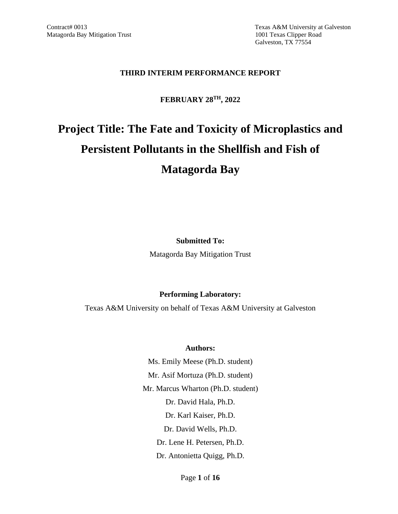Contract# 0013 Texas A&M University at Galveston Galveston, TX 77554

#### **THIRD INTERIM PERFORMANCE REPORT**

#### **FEBRUARY 28TH, 2022**

# **Project Title: The Fate and Toxicity of Microplastics and Persistent Pollutants in the Shellfish and Fish of Matagorda Bay**

**Submitted To:**

Matagorda Bay Mitigation Trust

#### **Performing Laboratory:**

Texas A&M University on behalf of Texas A&M University at Galveston

#### **Authors:**

Ms. Emily Meese (Ph.D. student) Mr. Asif Mortuza (Ph.D. student) Mr. Marcus Wharton (Ph.D. student) Dr. David Hala, Ph.D. Dr. Karl Kaiser, Ph.D. Dr. David Wells, Ph.D. Dr. Lene H. Petersen, Ph.D. Dr. Antonietta Quigg, Ph.D.

Page **1** of **16**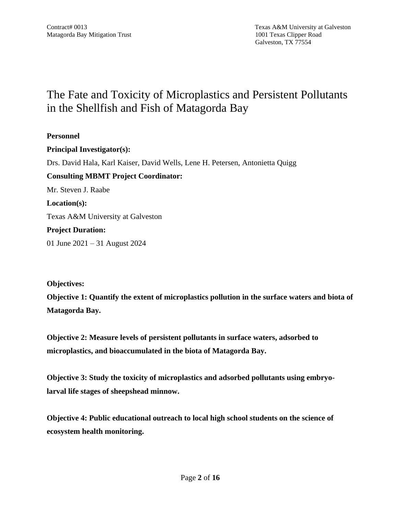# The Fate and Toxicity of Microplastics and Persistent Pollutants in the Shellfish and Fish of Matagorda Bay

**Personnel Principal Investigator(s):** Drs. David Hala, Karl Kaiser, David Wells, Lene H. Petersen, Antonietta Quigg **Consulting MBMT Project Coordinator:** Mr. Steven J. Raabe **Location(s):** Texas A&M University at Galveston **Project Duration:** 01 June 2021 – 31 August 2024

**Objectives:**

**Objective 1: Quantify the extent of microplastics pollution in the surface waters and biota of Matagorda Bay.**

**Objective 2: Measure levels of persistent pollutants in surface waters, adsorbed to microplastics, and bioaccumulated in the biota of Matagorda Bay.**

**Objective 3: Study the toxicity of microplastics and adsorbed pollutants using embryolarval life stages of sheepshead minnow.**

**Objective 4: Public educational outreach to local high school students on the science of ecosystem health monitoring.**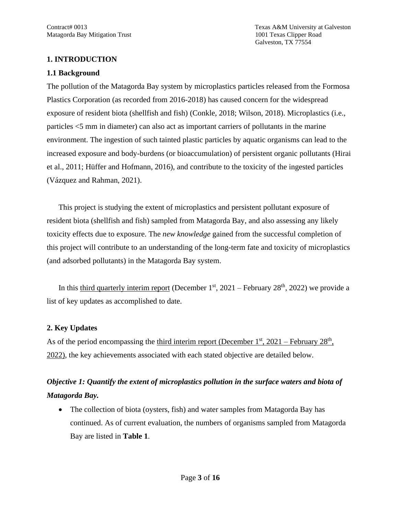Contract# 0013 Texas A&M University at Galveston Galveston, TX 77554

#### **1. INTRODUCTION**

#### **1.1 Background**

The pollution of the Matagorda Bay system by microplastics particles released from the Formosa Plastics Corporation (as recorded from 2016-2018) has caused concern for the widespread exposure of resident biota (shellfish and fish) (Conkle, 2018; Wilson, 2018). Microplastics (i.e., particles <5 mm in diameter) can also act as important carriers of pollutants in the marine environment. The ingestion of such tainted plastic particles by aquatic organisms can lead to the increased exposure and body-burdens (or bioaccumulation) of persistent organic pollutants (Hirai et al., 2011; Hüffer and Hofmann, 2016), and contribute to the toxicity of the ingested particles (Vázquez and Rahman, 2021).

This project is studying the extent of microplastics and persistent pollutant exposure of resident biota (shellfish and fish) sampled from Matagorda Bay, and also assessing any likely toxicity effects due to exposure. The *new knowledge* gained from the successful completion of this project will contribute to an understanding of the long-term fate and toxicity of microplastics (and adsorbed pollutants) in the Matagorda Bay system.

In this third quarterly interim report (December  $1<sup>st</sup>$ , 2021 – February 28<sup>th</sup>, 2022) we provide a list of key updates as accomplished to date.

#### **2. Key Updates**

As of the period encompassing the third interim report (December  $1<sup>st</sup>$ , 2021 – February 28<sup>th</sup>, 2022), the key achievements associated with each stated objective are detailed below.

### *Objective 1: Quantify the extent of microplastics pollution in the surface waters and biota of Matagorda Bay.*

• The collection of biota (oysters, fish) and water samples from Matagorda Bay has continued. As of current evaluation, the numbers of organisms sampled from Matagorda Bay are listed in **Table 1**.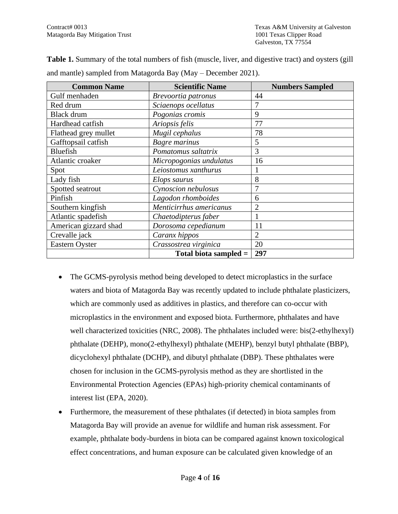| <b>Common Name</b>    | <b>Scientific Name</b>  | <b>Numbers Sampled</b> |
|-----------------------|-------------------------|------------------------|
| Gulf menhaden         | Brevoortia patronus     | 44                     |
| Red drum              | Sciaenops ocellatus     | 7                      |
| <b>Black</b> drum     | Pogonias cromis         | 9                      |
| Hardhead catfish      | Ariopsis felis          | 77                     |
| Flathead grey mullet  | Mugil cephalus          | 78                     |
| Gafftopsail catfish   | Bagre marinus           | 5                      |
| Bluefish              | Pomatomus saltatrix     | 3                      |
| Atlantic croaker      | Micropogonias undulatus | 16                     |
| Spot                  | Leiostomus xanthurus    |                        |
| Lady fish             | Elops saurus            | 8                      |
| Spotted seatrout      | Cynoscion nebulosus     | 7                      |
| Pinfish               | Lagodon rhomboides      | 6                      |
| Southern kingfish     | Menticirrhus americanus | 2                      |
| Atlantic spadefish    | Chaetodipterus faber    |                        |
| American gizzard shad | Dorosoma cepedianum     | 11                     |
| Crevalle jack         | Caranx hippos           | $\overline{2}$         |
| <b>Eastern Oyster</b> | Crassostrea virginica   | 20                     |
|                       | Total biota sampled =   | 297                    |

**Table 1.** Summary of the total numbers of fish (muscle, liver, and digestive tract) and oysters (gill and mantle) sampled from Matagorda Bay (May – December 2021).

- The GCMS-pyrolysis method being developed to detect microplastics in the surface waters and biota of Matagorda Bay was recently updated to include phthalate plasticizers, which are commonly used as additives in plastics, and therefore can co-occur with microplastics in the environment and exposed biota. Furthermore, phthalates and have well characterized toxicities (NRC, 2008). The phthalates included were: bis(2-ethylhexyl) phthalate (DEHP), mono(2-ethylhexyl) phthalate (MEHP), benzyl butyl phthalate (BBP), dicyclohexyl phthalate (DCHP), and dibutyl phthalate (DBP). These phthalates were chosen for inclusion in the GCMS-pyrolysis method as they are shortlisted in the Environmental Protection Agencies (EPAs) high-priority chemical contaminants of interest list (EPA, 2020).
- Furthermore, the measurement of these phthalates (if detected) in biota samples from Matagorda Bay will provide an avenue for wildlife and human risk assessment. For example, phthalate body-burdens in biota can be compared against known toxicological effect concentrations, and human exposure can be calculated given knowledge of an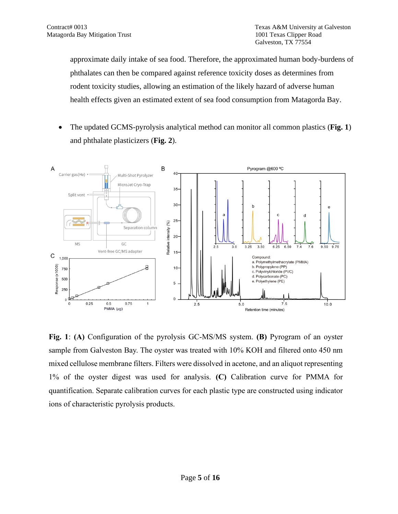approximate daily intake of sea food. Therefore, the approximated human body-burdens of phthalates can then be compared against reference toxicity doses as determines from rodent toxicity studies, allowing an estimation of the likely hazard of adverse human health effects given an estimated extent of sea food consumption from Matagorda Bay.

• The updated GCMS-pyrolysis analytical method can monitor all common plastics (**Fig. 1**) and phthalate plasticizers (**Fig. 2**).



**Fig. 1**: **(A)** Configuration of the pyrolysis GC-MS/MS system. **(B)** Pyrogram of an oyster sample from Galveston Bay. The oyster was treated with 10% KOH and filtered onto 450 nm mixed cellulose membrane filters. Filters were dissolved in acetone, and an aliquot representing 1% of the oyster digest was used for analysis. **(C)** Calibration curve for PMMA for quantification. Separate calibration curves for each plastic type are constructed using indicator ions of characteristic pyrolysis products.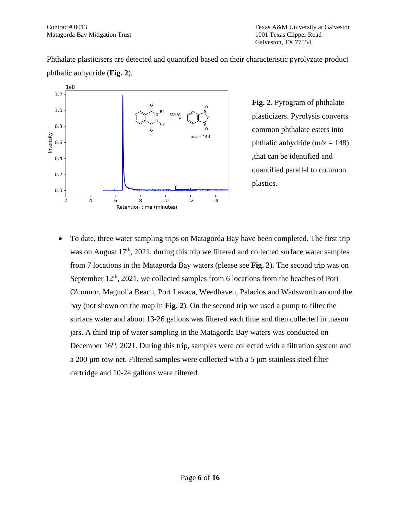Phthalate plasticisers are detected and quantified based on their characteristic pyrolyzate product phthalic anhydride (**Fig. 2**).



**Fig. 2.** Pyrogram of phthalate plasticizers. Pyrolysis converts common phthalate esters into phthalic anhydride  $(m/z = 148)$ ,that can be identified and quantified parallel to common plastics.

• To date, three water sampling trips on Matagorda Bay have been completed. The first trip was on August  $17<sup>th</sup>$ , 2021, during this trip we filtered and collected surface water samples from 7 locations in the Matagorda Bay waters (please see **Fig. 2**). The second trip was on September  $12<sup>th</sup>$ , 2021, we collected samples from 6 locations from the beaches of Port O'connor, Magnolia Beach, Port Lavaca, Weedhaven, Palacios and Wadsworth around the bay (not shown on the map in **Fig. 2**). On the second trip we used a pump to filter the surface water and about 13-26 gallons was filtered each time and then collected in mason jars. A third trip of water sampling in the Matagorda Bay waters was conducted on December  $16<sup>th</sup>$ , 2021. During this trip, samples were collected with a filtration system and a 200 µm tow net. Filtered samples were collected with a 5 µm stainless steel filter cartridge and 10-24 gallons were filtered.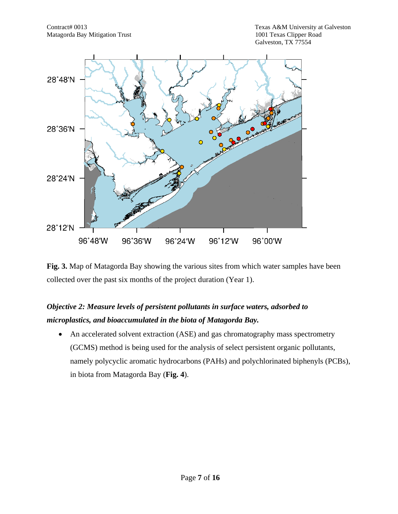



# *Objective 2: Measure levels of persistent pollutants in surface waters, adsorbed to microplastics, and bioaccumulated in the biota of Matagorda Bay.*

• An accelerated solvent extraction (ASE) and gas chromatography mass spectrometry (GCMS) method is being used for the analysis of select persistent organic pollutants, namely polycyclic aromatic hydrocarbons (PAHs) and polychlorinated biphenyls (PCBs), in biota from Matagorda Bay (**Fig. 4**).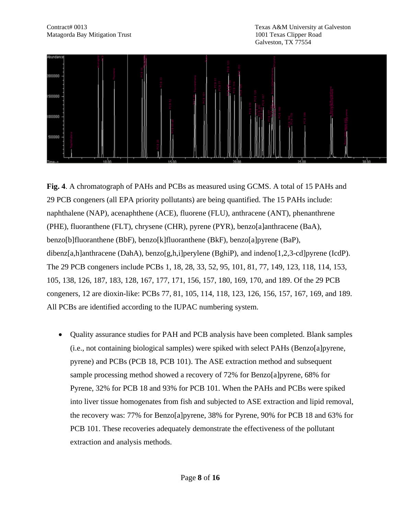Contract# 0013 Texas A&M University at Galveston Galveston, TX 77554



**Fig. 4**. A chromatograph of PAHs and PCBs as measured using GCMS. A total of 15 PAHs and 29 PCB congeners (all EPA priority pollutants) are being quantified. The 15 PAHs include: naphthalene (NAP), acenaphthene (ACE), fluorene (FLU), anthracene (ANT), phenanthrene (PHE), fluoranthene (FLT), chrysene (CHR), pyrene (PYR), benzo[a]anthracene (BaA), benzo[b]fluoranthene (BbF), benzo[k]fluoranthene (BkF), benzo[a]pyrene (BaP), dibenz[a,h]anthracene (DahA), benzo[g,h,i]perylene (BghiP), and indeno[1,2,3-cd]pyrene (IcdP). The 29 PCB congeners include PCBs 1, 18, 28, 33, 52, 95, 101, 81, 77, 149, 123, 118, 114, 153, 105, 138, 126, 187, 183, 128, 167, 177, 171, 156, 157, 180, 169, 170, and 189. Of the 29 PCB congeners, 12 are dioxin-like: PCBs 77, 81, 105, 114, 118, 123, 126, 156, 157, 167, 169, and 189. All PCBs are identified according to the IUPAC numbering system.

• Quality assurance studies for PAH and PCB analysis have been completed. Blank samples (i.e., not containing biological samples) were spiked with select PAHs (Benzo[a]pyrene, pyrene) and PCBs (PCB 18, PCB 101). The ASE extraction method and subsequent sample processing method showed a recovery of 72% for Benzo[a]pyrene, 68% for Pyrene, 32% for PCB 18 and 93% for PCB 101. When the PAHs and PCBs were spiked into liver tissue homogenates from fish and subjected to ASE extraction and lipid removal, the recovery was: 77% for Benzo[a]pyrene, 38% for Pyrene, 90% for PCB 18 and 63% for PCB 101. These recoveries adequately demonstrate the effectiveness of the pollutant extraction and analysis methods.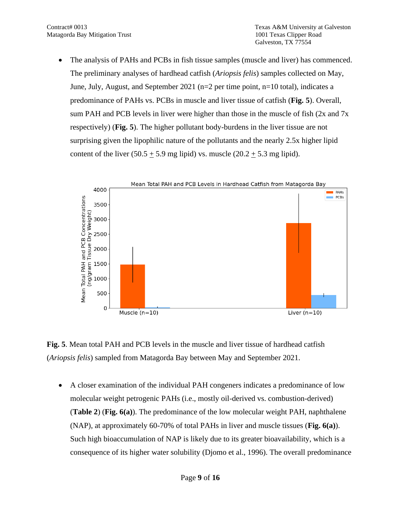The analysis of PAHs and PCBs in fish tissue samples (muscle and liver) has commenced. The preliminary analyses of hardhead catfish (*Ariopsis felis*) samples collected on May, June, July, August, and September 2021 ( $n=2$  per time point,  $n=10$  total), indicates a predominance of PAHs vs. PCBs in muscle and liver tissue of catfish (**Fig. 5**). Overall, sum PAH and PCB levels in liver were higher than those in the muscle of fish  $(2x \text{ and } 7x)$ respectively) (**Fig. 5**). The higher pollutant body-burdens in the liver tissue are not surprising given the lipophilic nature of the pollutants and the nearly 2.5x higher lipid content of the liver  $(50.5 + 5.9$  mg lipid) vs. muscle  $(20.2 + 5.3$  mg lipid).





• A closer examination of the individual PAH congeners indicates a predominance of low molecular weight petrogenic PAHs (i.e., mostly oil-derived vs. combustion-derived) (**Table 2**) (**Fig. 6(a)**). The predominance of the low molecular weight PAH, naphthalene (NAP), at approximately 60-70% of total PAHs in liver and muscle tissues (**Fig. 6(a)**). Such high bioaccumulation of NAP is likely due to its greater bioavailability, which is a consequence of its higher water solubility (Djomo et al., 1996). The overall predominance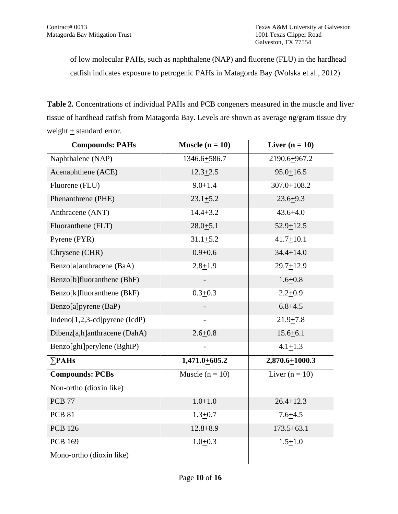of low molecular PAHs, such as naphthalene (NAP) and fluorene (FLU) in the hardhead catfish indicates exposure to petrogenic PAHs in Matagorda Bay (Wolska et al., 2012).

**Table 2.** Concentrations of individual PAHs and PCB congeners measured in the muscle and liver tissue of hardhead catfish from Matagorda Bay. Levels are shown as average ng/gram tissue dry weight  $\pm$  standard error.

| <b>Compounds: PAHs</b>            | Muscle $(n = 10)$ | Liver $(n = 10)$ |
|-----------------------------------|-------------------|------------------|
| Naphthalene (NAP)                 | 1346.6+586.7      | 2190.6+967.2     |
| Acenaphthene (ACE)                | $12.3 + 2.5$      | $95.0 + 16.5$    |
| Fluorene (FLU)                    | $9.0 + 1.4$       | $307.0 + 108.2$  |
| Phenanthrene (PHE)                | $23.1 + 5.2$      | $23.6 + 9.3$     |
| Anthracene (ANT)                  | $14.4 + 3.2$      | $43.6 + 4.0$     |
| Fluoranthene (FLT)                | $28.0 + 5.1$      | $52.9 + 12.5$    |
| Pyrene (PYR)                      | $31.1 + 5.2$      | $41.7 + 10.1$    |
| Chrysene (CHR)                    | $0.9 + 0.6$       | $34.4 \pm 14.0$  |
| Benzo[a]anthracene (BaA)          | $2.8 + 1.9$       | $29.7 + 12.9$    |
| Benzo[b]fluoranthene (BbF)        |                   | $1.6 + 0.8$      |
| Benzo[k]fluoranthene (BkF)        | $0.3 + 0.3$       | $2.2 + 0.9$      |
| Benzo[a]pyrene (BaP)              |                   | $6.8 + 4.5$      |
| Indeno $[1,2,3$ -cd]pyrene (IcdP) |                   | $21.9 + 7.8$     |
| Dibenz[a,h]anthracene (DahA)      | $2.6 + 0.8$       | $15.6 + 6.1$     |
| Benzo[ghi]perylene (BghiP)        |                   | $4.1 + 1.3$      |
| $\Sigma$ PAHs                     | 1,471.0+605.2     | 2,870.6+1000.3   |
| <b>Compounds: PCBs</b>            | Muscle $(n = 10)$ | Liver $(n = 10)$ |
| Non-ortho (dioxin like)           |                   |                  |
| <b>PCB 77</b>                     | $1.0 + 1.0$       | $26.4 \pm 12.3$  |
| <b>PCB 81</b>                     | $1.3 + 0.7$       | $7.6 + 4.5$      |
| <b>PCB 126</b>                    | $12.8 + 8.9$      | $173.5 + 63.1$   |
| <b>PCB 169</b>                    | $1.0+0.3$         | $1.5 + 1.0$      |
| Mono-ortho (dioxin like)          |                   |                  |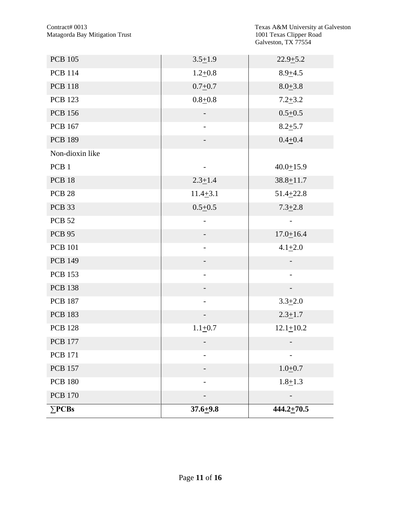Matagorda Bay Mitigation Trust

Contract# 0013 Texas A&M University at Galveston 1001 Texas Clipper Road<br>Galveston, TX 77554

| <b>PCB 105</b>   | $3.5 + 1.9$       | $22.9 + 5.2$             |
|------------------|-------------------|--------------------------|
| <b>PCB 114</b>   | $1.2 + 0.8$       | $8.9 + 4.5$              |
| <b>PCB 118</b>   | $0.7 + 0.7$       | $8.0 + 3.8$              |
| <b>PCB 123</b>   | $0.8 + 0.8$       | $7.2 + 3.2$              |
| <b>PCB 156</b>   |                   | $0.5 + 0.5$              |
| <b>PCB 167</b>   |                   | $8.2 + 5.7$              |
| <b>PCB 189</b>   |                   | $0.4 + 0.4$              |
| Non-dioxin like  |                   |                          |
| PCB <sub>1</sub> |                   | $40.0 + 15.9$            |
| <b>PCB 18</b>    | $2.3 + 1.4$       | $38.8 + 11.7$            |
| <b>PCB 28</b>    | $11.4 + 3.1$      | $51.4 + 22.8$            |
| <b>PCB 33</b>    | $0.5 + 0.5$       | $7.3 + 2.8$              |
| <b>PCB 52</b>    |                   | $\overline{\phantom{0}}$ |
| <b>PCB 95</b>    |                   | $17.0 + 16.4$            |
| <b>PCB 101</b>   | $\qquad \qquad -$ | $4.1 + 2.0$              |
| <b>PCB 149</b>   |                   |                          |
| <b>PCB 153</b>   |                   |                          |
| <b>PCB 138</b>   |                   |                          |
| <b>PCB 187</b>   |                   | $3.3 + 2.0$              |
| <b>PCB 183</b>   |                   | $2.3 + 1.7$              |
| <b>PCB 128</b>   | $1.1 + 0.7$       | $12.1 + 10.2$            |
| <b>PCB 177</b>   |                   |                          |
| <b>PCB 171</b>   |                   |                          |
| <b>PCB 157</b>   |                   | $1.0 + 0.7$              |
| <b>PCB 180</b>   |                   | $1.8 + 1.3$              |
| <b>PCB 170</b>   |                   |                          |
| $\Sigma$ PCBs    | $37.6 + 9.8$      | $444.2 + 70.5$           |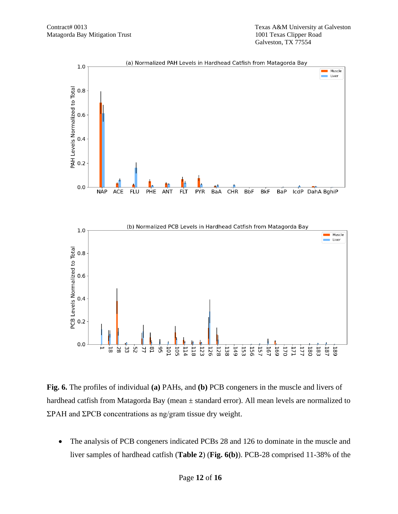

**Fig. 6.** The profiles of individual **(a)** PAHs, and **(b)** PCB congeners in the muscle and livers of hardhead catfish from Matagorda Bay (mean  $\pm$  standard error). All mean levels are normalized to ΣPAH and ΣPCB concentrations as ng/gram tissue dry weight.

• The analysis of PCB congeners indicated PCBs 28 and 126 to dominate in the muscle and liver samples of hardhead catfish (**Table 2**) (**Fig. 6(b)**). PCB-28 comprised 11-38% of the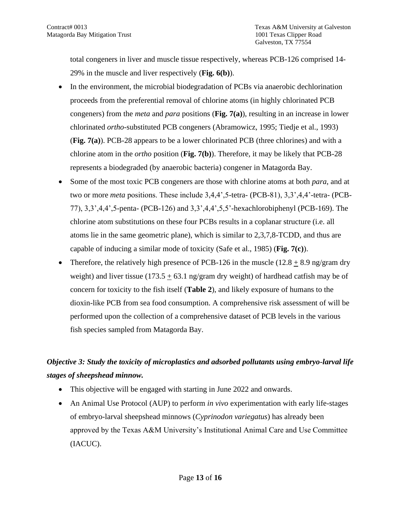total congeners in liver and muscle tissue respectively, whereas PCB-126 comprised 14- 29% in the muscle and liver respectively (**Fig. 6(b)**).

- In the environment, the microbial biodegradation of PCBs via anaerobic dechlorination proceeds from the preferential removal of chlorine atoms (in highly chlorinated PCB congeners) from the *meta* and *para* positions (**Fig. 7(a)**), resulting in an increase in lower chlorinated *ortho*-substituted PCB congeners (Abramowicz, 1995; Tiedje et al., 1993) (**Fig. 7(a)**). PCB-28 appears to be a lower chlorinated PCB (three chlorines) and with a chlorine atom in the *ortho* position (**Fig. 7(b)**). Therefore, it may be likely that PCB-28 represents a biodegraded (by anaerobic bacteria) congener in Matagorda Bay.
- Some of the most toxic PCB congeners are those with chlorine atoms at both *para*, and at two or more *meta* positions. These include 3,4,4',5-tetra- (PCB-81), 3,3',4,4'-tetra- (PCB-77), 3,3',4,4',5-penta- (PCB-126) and 3,3',4,4',5,5'-hexachlorobiphenyl (PCB-169). The chlorine atom substitutions on these four PCBs results in a coplanar structure (i.e. all atoms lie in the same geometric plane), which is similar to 2,3,7,8-TCDD, and thus are capable of inducing a similar mode of toxicity (Safe et al., 1985) (**Fig. 7(c)**).
- Therefore, the relatively high presence of PCB-126 in the muscle  $(12.8 \pm 8.9 \text{ ng/gram dry})$ weight) and liver tissue (173.5  $\pm$  63.1 ng/gram dry weight) of hardhead catfish may be of concern for toxicity to the fish itself (**Table 2**), and likely exposure of humans to the dioxin-like PCB from sea food consumption. A comprehensive risk assessment of will be performed upon the collection of a comprehensive dataset of PCB levels in the various fish species sampled from Matagorda Bay.

# *Objective 3: Study the toxicity of microplastics and adsorbed pollutants using embryo-larval life stages of sheepshead minnow.*

- This objective will be engaged with starting in June 2022 and onwards.
- An Animal Use Protocol (AUP) to perform *in vivo* experimentation with early life-stages of embryo-larval sheepshead minnows (*Cyprinodon variegatus*) has already been approved by the Texas A&M University's Institutional Animal Care and Use Committee (IACUC).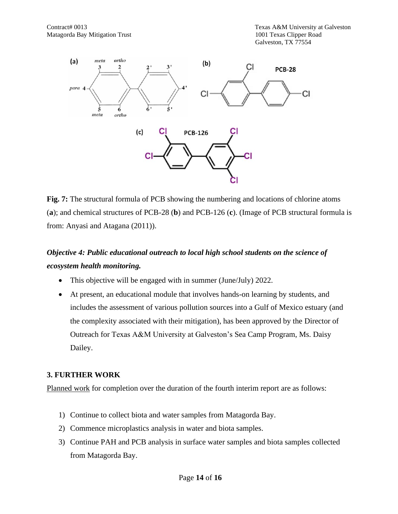

**Fig. 7:** The structural formula of PCB showing the numbering and locations of chlorine atoms (**a**); and chemical structures of PCB-28 (**b**) and PCB-126 (**c**). (Image of PCB structural formula is from: Anyasi and Atagana (2011)).

# *Objective 4: Public educational outreach to local high school students on the science of ecosystem health monitoring.*

- This objective will be engaged with in summer (June/July) 2022.
- At present, an educational module that involves hands-on learning by students, and includes the assessment of various pollution sources into a Gulf of Mexico estuary (and the complexity associated with their mitigation), has been approved by the Director of Outreach for Texas A&M University at Galveston's Sea Camp Program, Ms. Daisy Dailey.

#### **3. FURTHER WORK**

Planned work for completion over the duration of the fourth interim report are as follows:

- 1) Continue to collect biota and water samples from Matagorda Bay.
- 2) Commence microplastics analysis in water and biota samples.
- 3) Continue PAH and PCB analysis in surface water samples and biota samples collected from Matagorda Bay.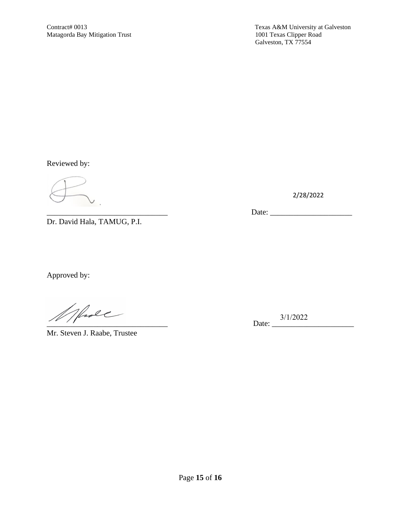Contract# 0013 Texas A&M University at Galveston Galveston, TX 77554

Reviewed by:

Dr. David Hala, TAMUG, P.I.

Approved by:

hole \_\_\_\_\_\_\_\_\_\_\_\_\_\_\_\_\_\_\_\_\_\_\_\_\_\_\_\_\_\_\_ Date: \_\_\_\_\_\_\_\_\_\_\_\_\_\_\_\_\_\_\_\_\_

Mr. Steven J. Raabe, Trustee

2/28/2022

\_\_\_\_\_\_\_\_\_\_\_\_\_\_\_\_\_\_\_\_\_\_\_\_\_\_\_\_\_\_\_ Date: \_\_\_\_\_\_\_\_\_\_\_\_\_\_\_\_\_\_\_\_\_

3/1/2022